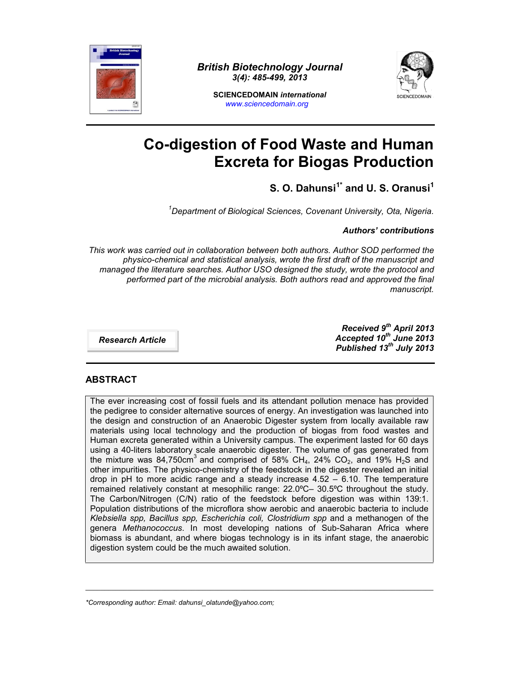

*British Biotechnology Journal 3(4): 485-499, 2013*



**SCIENCEDOMAIN** *international www.sciencedomain.org*

# **Co-digestion of Food Waste and Human Excreta for Biogas Production**

# **S. O. Dahunsi1\* and U. S. Oranusi<sup>1</sup>**

*<sup>1</sup>Department of Biological Sciences, Covenant University, Ota, Nigeria.*

*Authors' contributions*

*This work was carried out in collaboration between both authors. Author SOD performed the physico-chemical and statistical analysis, wrote the first draft of the manuscript and managed the literature searches. Author USO designed the study, wrote the protocol and performed part of the microbial analysis. Both authors read and approved the final manuscript.*

*Research Article*

*Received 9 th April 2013 Accepted 10th June 2013 Published 13th July 2013*

# **ABSTRACT**

The ever increasing cost of fossil fuels and its attendant pollution menace has provided the pedigree to consider alternative sources of energy. An investigation was launched into the design and construction of an Anaerobic Digester system from locally available raw materials using local technology and the production of biogas from food wastes and Human excreta generated within a University campus. The experiment lasted for 60 days using a 40-liters laboratory scale anaerobic digester. The volume of gas generated from the mixture was 84,750cm<sup>3</sup> and comprised of 58% CH<sub>4</sub>, 24% CO<sub>2</sub>, and 19% H<sub>2</sub>S and other impurities. The physico-chemistry of the feedstock in the digester revealed an initial drop in pH to more acidic range and a steady increase  $4.52 - 6.10$ . The temperature remained relatively constant at mesophilic range: 22.0ºC– 30.5ºC throughout the study. The Carbon/Nitrogen (C/N) ratio of the feedstock before digestion was within 139:1. Population distributions of the microflora show aerobic and anaerobic bacteria to include *Klebsiella spp, Bacillus spp, Escherichia coli, Clostridium spp* and a methanogen of the genera *Methanococcus*. In most developing nations of Sub-Saharan Africa where biomass is abundant, and where biogas technology is in its infant stage, the anaerobic digestion system could be the much awaited solution.

\_\_\_\_\_\_\_\_\_\_\_\_\_\_\_\_\_\_\_\_\_\_\_\_\_\_\_\_\_\_\_\_\_\_\_\_\_\_\_\_\_\_\_\_\_\_\_\_\_\_\_\_\_\_\_\_\_\_\_\_\_\_\_\_\_\_\_\_\_\_\_\_\_\_\_\_\_\_\_\_\_\_\_\_\_\_\_\_\_\_\_\_

*\*Corresponding author: Email: dahunsi\_olatunde@yahoo.com;*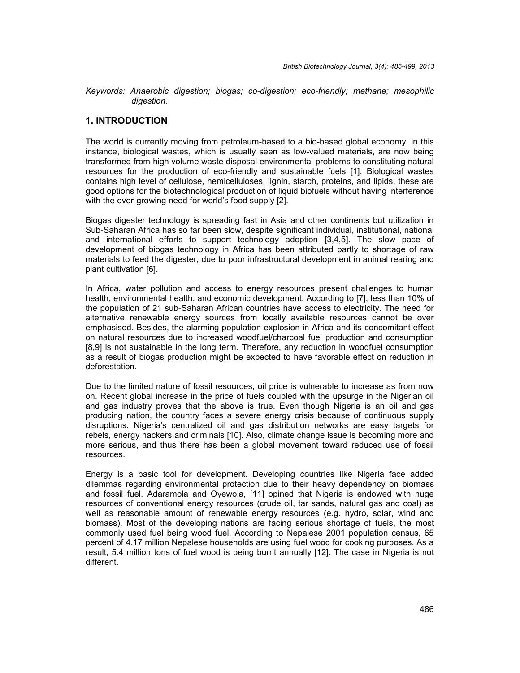*Keywords: Anaerobic digestion; biogas; co-digestion; eco-friendly; methane; mesophilic digestion.*

#### **1. INTRODUCTION**

The world is currently moving from petroleum-based to a bio-based global economy, in this instance, biological wastes, which is usually seen as low-valued materials, are now being transformed from high volume waste disposal environmental problems to constituting natural resources for the production of eco-friendly and sustainable fuels [1]. Biological wastes contains high level of cellulose, hemicelluloses, lignin, starch, proteins, and lipids, these are good options for the biotechnological production of liquid biofuels without having interference with the ever-growing need for world's food supply [2].

Biogas digester technology is spreading fast in Asia and other continents but utilization in Sub-Saharan Africa has so far been slow, despite significant individual, institutional, national and international efforts to support technology adoption [3,4,5]. The slow pace of development of biogas technology in Africa has been attributed partly to shortage of raw materials to feed the digester, due to poor infrastructural development in animal rearing and plant cultivation [6].

In Africa, water pollution and access to energy resources present challenges to human health, environmental health, and economic development. According to [7], less than 10% of the population of 21 sub-Saharan African countries have access to electricity. The need for alternative renewable energy sources from locally available resources cannot be over emphasised. Besides, the alarming population explosion in Africa and its concomitant effect on natural resources due to increased woodfuel/charcoal fuel production and consumption [8,9] is not sustainable in the long term. Therefore, any reduction in woodfuel consumption as a result of biogas production might be expected to have favorable effect on reduction in deforestation.

Due to the limited nature of fossil resources, oil price is vulnerable to increase as from now on. Recent global increase in the price of fuels coupled with the upsurge in the Nigerian oil and gas industry proves that the above is true. Even though Nigeria is an oil and gas producing nation, the country faces a severe energy crisis because of continuous supply disruptions. Nigeria's centralized oil and gas distribution networks are easy targets for rebels, energy hackers and criminals [10]. Also, climate change issue is becoming more and more serious, and thus there has been a global movement toward reduced use of fossil resources.

Energy is a basic tool for development. Developing countries like Nigeria face added dilemmas regarding environmental protection due to their heavy dependency on biomass and fossil fuel. Adaramola and Oyewola, [11] opined that Nigeria is endowed with huge resources of conventional energy resources (crude oil, tar sands, natural gas and coal) as well as reasonable amount of renewable energy resources (e.g. hydro, solar, wind and biomass). Most of the developing nations are facing serious shortage of fuels, the most commonly used fuel being wood fuel. According to Nepalese 2001 population census, 65 percent of 4.17 million Nepalese households are using fuel wood for cooking purposes. As a result, 5.4 million tons of fuel wood is being burnt annually [12]. The case in Nigeria is not different.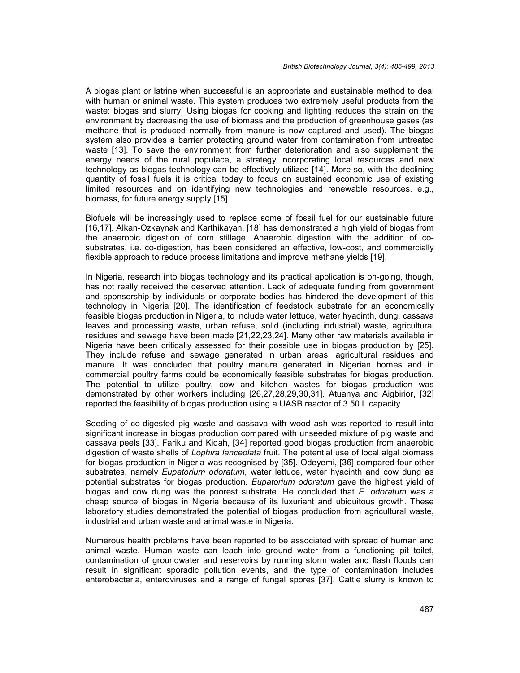A biogas plant or latrine when successful is an appropriate and sustainable method to deal with human or animal waste. This system produces two extremely useful products from the waste: biogas and slurry. Using biogas for cooking and lighting reduces the strain on the environment by decreasing the use of biomass and the production of greenhouse gases (as methane that is produced normally from manure is now captured and used). The biogas system also provides a barrier protecting ground water from contamination from untreated waste [13]. To save the environment from further deterioration and also supplement the energy needs of the rural populace, a strategy incorporating local resources and new technology as biogas technology can be effectively utilized [14]. More so, with the declining quantity of fossil fuels it is critical today to focus on sustained economic use of existing limited resources and on identifying new technologies and renewable resources, e.g., biomass, for future energy supply [15].

Biofuels will be increasingly used to replace some of fossil fuel for our sustainable future [16,17]. Alkan-Ozkaynak and Karthikayan, [18] has demonstrated a high yield of biogas from the anaerobic digestion of corn stillage. Anaerobic digestion with the addition of co substrates, i.e. co-digestion, has been considered an effective, low-cost, and commercially flexible approach to reduce process limitations and improve methane yields [19].

In Nigeria, research into biogas technology and its practical application is on-going, though, has not really received the deserved attention. Lack of adequate funding from government and sponsorship by individuals or corporate bodies has hindered the development of this technology in Nigeria [20]. The identification of feedstock substrate for an economically feasible biogas production in Nigeria, to include water lettuce, water hyacinth, dung, cassava leaves and processing waste, urban refuse, solid (including industrial) waste, agricultural residues and sewage have been made [21,22,23,24]. Many other raw materials available in Nigeria have been critically assessed for their possible use in biogas production by [25]. They include refuse and sewage generated in urban areas, agricultural residues and manure. It was concluded that poultry manure generated in Nigerian homes and in commercial poultry farms could be economically feasible substrates for biogas production. The potential to utilize poultry, cow and kitchen wastes for biogas production was demonstrated by other workers including [26,27,28,29,30,31]. Atuanya and Aigbirior, [32] reported the feasibility of biogas production using a UASB reactor of 3.50 L capacity.

Seeding of co-digested pig waste and cassava with wood ash was reported to result into significant increase in biogas production compared with unseeded mixture of pig waste and cassava peels [33]. Fariku and Kidah, [34] reported good biogas production from anaerobic digestion of waste shells of *Lophira lanceolata* fruit. The potential use of local algal biomass for biogas production in Nigeria was recognised by [35]. Odeyemi, [36] compared four other substrates, namely *Eupatorium odoratum*, water lettuce, water hyacinth and cow dung as potential substrates for biogas production. *Eupatorium odoratum* gave the highest yield of biogas and cow dung was the poorest substrate. He concluded that *E. odoratum* was a cheap source of biogas in Nigeria because of its luxuriant and ubiquitous growth. These laboratory studies demonstrated the potential of biogas production from agricultural waste, industrial and urban waste and animal waste in Nigeria.

Numerous health problems have been reported to be associated with spread of human and animal waste. Human waste can leach into ground water from a functioning pit toilet, contamination of groundwater and reservoirs by running storm water and flash floods can result in significant sporadic pollution events, and the type of contamination includes enterobacteria, enteroviruses and a range of fungal spores [37]. Cattle slurry is known to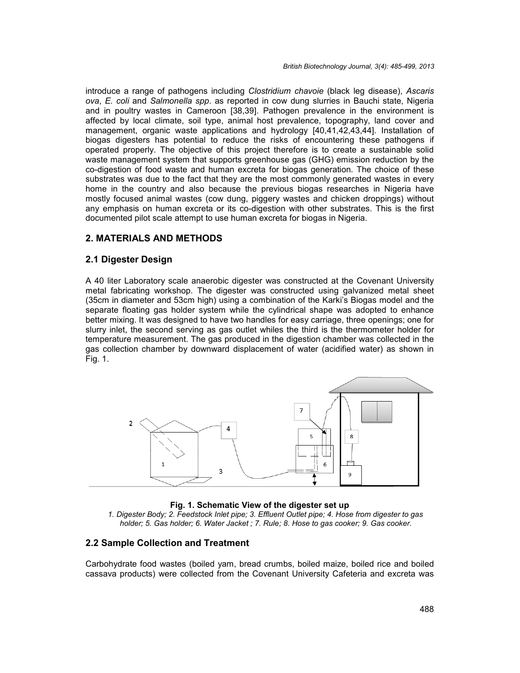introduce a range of pathogens including *Clostridium chavoie* (black leg disease), *Ascaris ova*, *E. coli* and *Salmonella spp*. as reported in cow dung slurries in Bauchi state, Nigeria and in poultry wastes in Cameroon [38,39]. Pathogen prevalence in the environment is affected by local climate, soil type, animal host prevalence, topography, land cover and management, organic waste applications and hydrology [40,41,42,43,44]. Installation of biogas digesters has potential to reduce the risks of encountering these pathogens if operated properly. The objective of this project therefore is to create a sustainable solid waste management system that supports greenhouse gas (GHG) emission reduction by the co-digestion of food waste and human excreta for biogas generation. The choice of these substrates was due to the fact that they are the most commonly generated wastes in every home in the country and also because the previous biogas researches in Nigeria have mostly focused animal wastes (cow dung, piggery wastes and chicken droppings) without any emphasis on human excreta or its co-digestion with other substrates. This is the first documented pilot scale attempt to use human excreta for biogas in Nigeria.

# **2. MATERIALS AND METHODS**

#### **2.1 Digester Design**

A 40 liter Laboratory scale anaerobic digester was constructed at the Covenant University metal fabricating workshop. The digester was constructed using galvanized metal sheet (35cm in diameter and 53cm high) using a combination of the Karki's Biogas model and the separate floating gas holder system while the cylindrical shape was adopted to enhance better mixing. It was designed to have two handles for easy carriage, three openings; one for slurry inlet, the second serving as gas outlet whiles the third is the thermometer holder for temperature measurement. The gas produced in the digestion chamber was collected in the gas collection chamber by downward displacement of water (acidified water) as shown in Fig. 1.



#### **Fig. 1. Schematic View of the digester set up**

*1. Digester Body; 2. Feedstock Inlet pipe; 3. Effluent Outlet pipe; 4. Hose from digester to gas holder; 5. Gas holder; 6. Water Jacket ; 7. Rule; 8. Hose to gas cooker; 9. Gas cooker.*

#### **2.2 Sample Collection and Treatment**

Carbohydrate food wastes (boiled yam, bread crumbs, boiled maize, boiled rice and boiled cassava products) were collected from the Covenant University Cafeteria and excreta was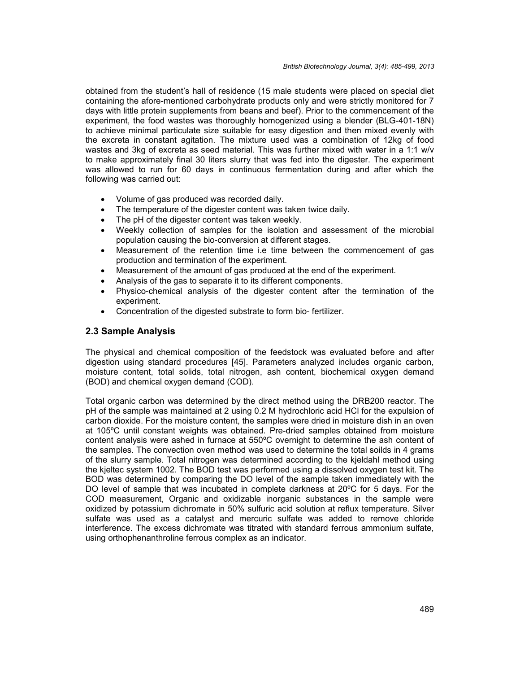obtained from the student's hall of residence (15 male students were placed on special diet containing the afore-mentioned carbohydrate products only and were strictly monitored for 7 days with little protein supplements from beans and beef). Prior to the commencement of the experiment, the food wastes was thoroughly homogenized using a blender (BLG-401-18N) to achieve minimal particulate size suitable for easy digestion and then mixed evenly with the excreta in constant agitation. The mixture used was a combination of 12kg of food wastes and 3kg of excreta as seed material. This was further mixed with water in a 1:1 w/v to make approximately final 30 liters slurry that was fed into the digester. The experiment was allowed to run for 60 days in continuous fermentation during and after which the following was carried out:

- Volume of gas produced was recorded daily.
- The temperature of the digester content was taken twice daily.
- The pH of the digester content was taken weekly.
- Weekly collection of samples for the isolation and assessment of the microbial population causing the bio-conversion at different stages.
- Measurement of the retention time i.e time between the commencement of gas production and termination of the experiment.
- Measurement of the amount of gas produced at the end of the experiment.
- Analysis of the gas to separate it to its different components.
- Physico-chemical analysis of the digester content after the termination of the experiment.
- Concentration of the digested substrate to form bio- fertilizer.

#### **2.3 Sample Analysis**

The physical and chemical composition of the feedstock was evaluated before and after digestion using standard procedures [45]. Parameters analyzed includes organic carbon, moisture content, total solids, total nitrogen, ash content, biochemical oxygen demand (BOD) and chemical oxygen demand (COD).

Total organic carbon was determined by the direct method using the DRB200 reactor. The pH of the sample was maintained at 2 using 0.2 M hydrochloric acid HCl for the expulsion of carbon dioxide. For the moisture content, the samples were dried in moisture dish in an oven at 105ºC until constant weights was obtained. Pre-dried samples obtained from moisture content analysis were ashed in furnace at 550ºC overnight to determine the ash content of the samples. The convection oven method was used to determine the total soilds in 4 grams of the slurry sample. Total nitrogen was determined according to the kjeldahl method using the kjeltec system 1002. The BOD test was performed using a dissolved oxygen test kit. The BOD was determined by comparing the DO level of the sample taken immediately with the DO level of sample that was incubated in complete darkness at 20<sup>o</sup>C for 5 days. For the COD measurement, Organic and oxidizable inorganic substances in the sample were oxidized by potassium dichromate in 50% sulfuric acid solution at reflux temperature. Silver sulfate was used as a catalyst and mercuric sulfate was added to remove chloride interference. The excess dichromate was titrated with standard ferrous ammonium sulfate, using orthophenanthroline ferrous complex as an indicator.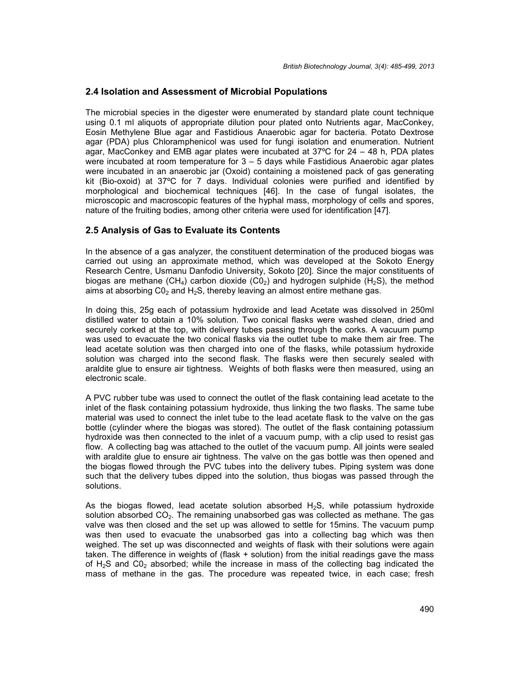#### **2.4 Isolation and Assessment of Microbial Populations**

The microbial species in the digester were enumerated by standard plate count technique using 0.1 ml aliquots of appropriate dilution pour plated onto Nutrients agar, MacConkey, Eosin Methylene Blue agar and Fastidious Anaerobic agar for bacteria. Potato Dextrose agar (PDA) plus Chloramphenicol was used for fungi isolation and enumeration. Nutrient agar, MacConkey and EMB agar plates were incubated at 37ºC for 24 – 48 h, PDA plates were incubated at room temperature for  $3 - 5$  days while Fastidious Anaerobic agar plates were incubated in an anaerobic jar (Oxoid) containing a moistened pack of gas generating kit (Bio-oxoid) at 37ºC for 7 days. Individual colonies were purified and identified by morphological and biochemical techniques [46]. In the case of fungal isolates, the microscopic and macroscopic features of the hyphal mass, morphology of cells and spores, nature of the fruiting bodies, among other criteria were used for identification [47].

# **2.5 Analysis of Gas to Evaluate its Contents**

In the absence of a gas analyzer, the constituent determination of the produced biogas was carried out using an approximate method, which was developed at the Sokoto Energy Research Centre, Usmanu Danfodio University, Sokoto [20]. Since the major constituents of biogas are methane (CH<sub>4</sub>) carbon dioxide (CO<sub>2</sub>) and hydrogen sulphide (H<sub>2</sub>S), the method aims at absorbing  $CO<sub>2</sub>$  and H<sub>2</sub>S, thereby leaving an almost entire methane gas.

In doing this, 25g each of potassium hydroxide and lead Acetate was dissolved in 250ml distilled water to obtain a 10% solution. Two conical flasks were washed clean, dried and securely corked at the top, with delivery tubes passing through the corks. A vacuum pump was used to evacuate the two conical flasks via the outlet tube to make them air free. The lead acetate solution was then charged into one of the flasks, while potassium hydroxide solution was charged into the second flask. The flasks were then securely sealed with araldite glue to ensure air tightness. Weights of both flasks were then measured, using an electronic scale.

A PVC rubber tube was used to connect the outlet of the flask containing lead acetate to the inlet of the flask containing potassium hydroxide, thus linking the two flasks. The same tube material was used to connect the inlet tube to the lead acetate flask to the valve on the gas bottle (cylinder where the biogas was stored). The outlet of the flask containing potassium hydroxide was then connected to the inlet of a vacuum pump, with a clip used to resist gas flow. A collecting bag was attached to the outlet of the vacuum pump. All joints were sealed with araldite glue to ensure air tightness. The valve on the gas bottle was then opened and the biogas flowed through the PVC tubes into the delivery tubes. Piping system was done such that the delivery tubes dipped into the solution, thus biogas was passed through the solutions.

As the biogas flowed, lead acetate solution absorbed  $H_2S$ , while potassium hydroxide solution absorbed  $CO<sub>2</sub>$ . The remaining unabsorbed gas was collected as methane. The gas valve was then closed and the set up was allowed to settle for 15mins. The vacuum pump was then used to evacuate the unabsorbed gas into a collecting bag which was then weighed. The set up was disconnected and weights of flask with their solutions were again taken. The difference in weights of (flask + solution) from the initial readings gave the mass of  $H<sub>2</sub>S$  and CO<sub>2</sub> absorbed; while the increase in mass of the collecting bag indicated the mass of methane in the gas. The procedure was repeated twice, in each case; fresh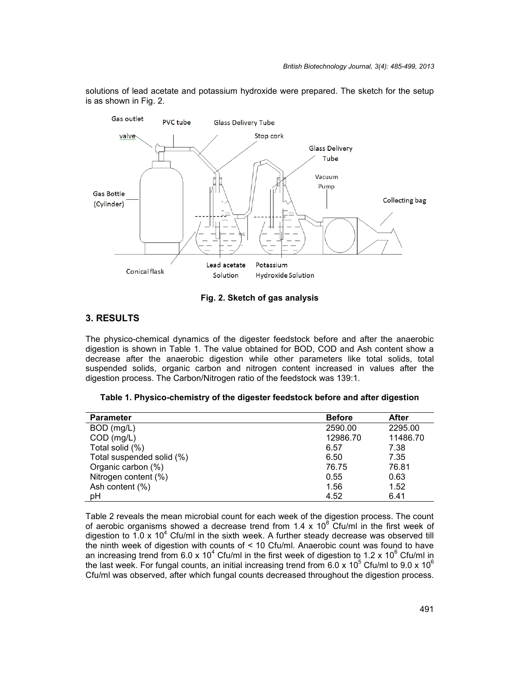

solutions of lead acetate and potassium hydroxide were prepared. The sketch for the setup is as shown in Fig. 2.

#### **Fig. 2. Sketch of gas analysis**

# **3. RESULTS**

The physico-chemical dynamics of the digester feedstock before and after the anaerobic digestion is shown in Table 1. The value obtained for BOD, COD and Ash content show a decrease after the anaerobic digestion while other parameters like total solids, total suspended solids, organic carbon and nitrogen content increased in values after the digestion process. The Carbon/Nitrogen ratio of the feedstock was 139:1.

|  | Table 1. Physico-chemistry of the digester feedstock before and after digestion |  |
|--|---------------------------------------------------------------------------------|--|
|--|---------------------------------------------------------------------------------|--|

| <b>Parameter</b>          | <b>Before</b> | <b>After</b> |
|---------------------------|---------------|--------------|
| BOD (mg/L)                | 2590.00       | 2295.00      |
| $COD$ (mg/L)              | 12986.70      | 11486.70     |
| Total solid (%)           | 6.57          | 7.38         |
| Total suspended solid (%) | 6.50          | 7.35         |
| Organic carbon (%)        | 76.75         | 76.81        |
| Nitrogen content (%)      | 0.55          | 0.63         |
| Ash content (%)           | 1.56          | 1.52         |
| рH                        | 4.52          | 6.41         |

Table 2 reveals the mean microbial count for each week of the digestion process. The count of aerobic organisms showed a decrease trend from 1.4 x  $10^8$  Cfu/ml in the first week of digestion to 1.0 x 10<sup>4</sup> Cfu/ml in the sixth week. A further steady decrease was observed till the ninth week of digestion with counts of < 10 Cfu/ml. Anaerobic count was found to have an increasing trend from 6.0 x 10<sup>4</sup> Cfu/ml in the first week of digestion to 1.2 x 10<sup>6</sup> Cfu/ml in the last week. For fungal counts, an initial increasing trend from 6.0 x 10<sup>5</sup> Cfu/ml to 9.0 x 10<sup>6</sup> Cfu/ml was observed, after which fungal counts decreased throughout the digestion process.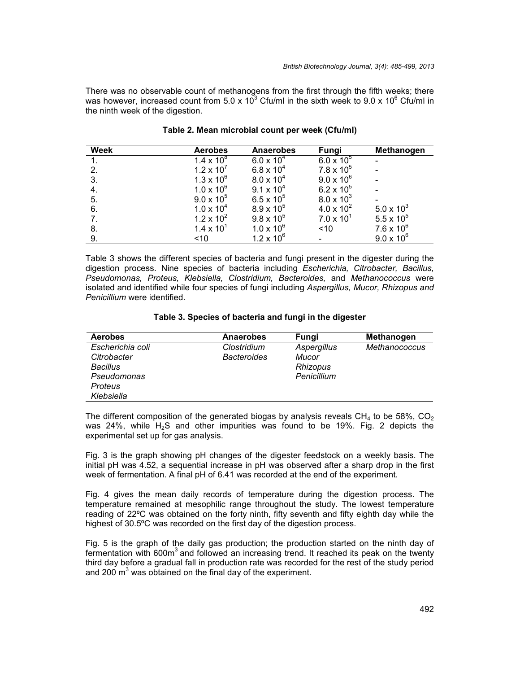There was no observable count of methanogens from the first through the fifth weeks; there was however, increased count from 5.0 x 10<sup>3</sup> Cfu/ml in the sixth week to 9.0 x 10<sup>6</sup> Cfu/ml in the ninth week of the digestion.

| <b>Week</b> | <b>Aerobes</b>      | <b>Anaerobes</b>    | Fungi               | Methanogen          |
|-------------|---------------------|---------------------|---------------------|---------------------|
|             | $1.4 \times 10^{8}$ | $6.0 \times 10^{4}$ | $6.0 \times 10^{5}$ |                     |
| 2.          | $1.2 \times 10^{7}$ | $6.8 \times 10^{4}$ | $7.8 \times 10^{5}$ |                     |
| 3.          | $1.3 \times 10^{6}$ | $8.0 \times 10^{4}$ | $9.0 \times 10^{6}$ |                     |
| 4.          | $1.0 \times 10^{6}$ | $9.1 \times 10^{4}$ | 6.2 x $10^5$        |                     |
| 5.          | $9.0 \times 10^{5}$ | $6.5 \times 10^{5}$ | $8.0 \times 10^{3}$ |                     |
| 6.          | $1.0 \times 10^{4}$ | $8.9 \times 10^{5}$ | $4.0 \times 10^{2}$ | $5.0 \times 10^{3}$ |
|             | $1.2 \times 10^{2}$ | $9.8 \times 10^{5}$ | $7.0 \times 10^{1}$ | $5.5 \times 10^{5}$ |
| 8.          | $1.4 \times 10^{1}$ | $1.0 \times 10^{6}$ | ~10                 | $7.6 \times 10^{6}$ |
| 9.          | ~10                 | $1.2 \times 10^{6}$ |                     | $9.0 \times 10^{6}$ |

| Table 2. Mean microbial count per week (Cfu/ml) |  |  |  |  |  |
|-------------------------------------------------|--|--|--|--|--|
|-------------------------------------------------|--|--|--|--|--|

Table 3 shows the different species of bacteria and fungi present in the digester during the digestion process. Nine species of bacteria including *Escherichia, Citrobacter, Bacillus, Pseudomonas, Proteus, Klebsiella, Clostridium, Bacteroides,* and *Methanococcus* were isolated and identified while four species of fungi including *Aspergillus, Mucor, Rhizopus and Penicillium* were identified.

#### **Table 3. Species of bacteria and fungi in the digester**

| <b>Aerobes</b>   | <b>Anaerobes</b>   | <b>Fungi</b> | Methanogen           |
|------------------|--------------------|--------------|----------------------|
| Escherichia coli | Clostridium        | Aspergillus  | <b>Methanococcus</b> |
| Citrobacter      | <b>Bacteroides</b> | Mucor        |                      |
| <b>Bacillus</b>  |                    | Rhizopus     |                      |
| Pseudomonas      |                    | Penicillium  |                      |
| Proteus          |                    |              |                      |
| Klebsiella       |                    |              |                      |

The different composition of the generated biogas by analysis reveals  $CH_4$  to be 58%,  $CO_2$ was 24%, while  $H_2S$  and other impurities was found to be 19%. Fig. 2 depicts the experimental set up for gas analysis.

Fig. 3 is the graph showing pH changes of the digester feedstock on a weekly basis. The initial pH was 4.52, a sequential increase in pH was observed after a sharp drop in the first week of fermentation. A final pH of 6.41 was recorded at the end of the experiment.

Fig. 4 gives the mean daily records of temperature during the digestion process. The temperature remained at mesophilic range throughout the study. The lowest temperature reading of 22ºC was obtained on the forty ninth, fifty seventh and fifty eighth day while the highest of 30.5ºC was recorded on the first day of the digestion process.

Fig. 5 is the graph of the daily gas production; the production started on the ninth day of fermentation with  $600m<sup>3</sup>$  and followed an increasing trend. It reached its peak on the twenty third day before a gradual fall in production rate was recorded for the rest of the study period and 200  $\text{m}^3$  was obtained on the final day of the experiment.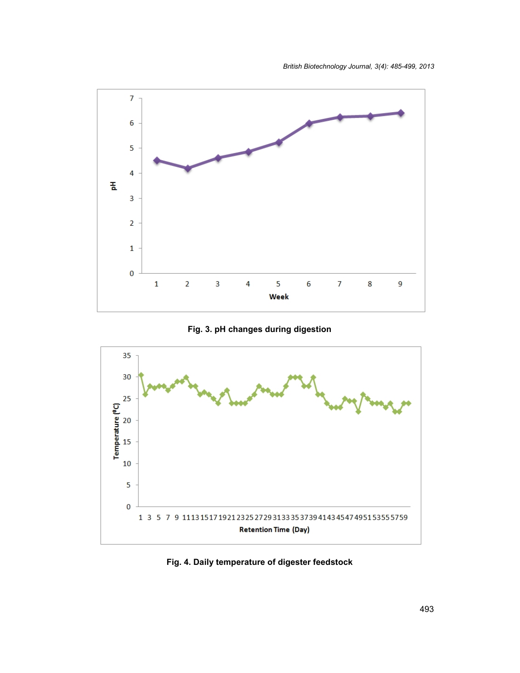

**Fig. 3. pH changes during digestion**



**Fig. 4. Daily temperature of digester feedstock**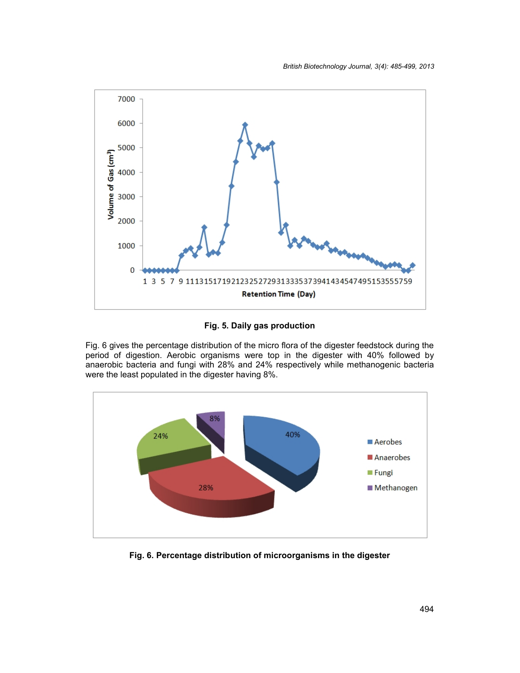

**Fig. 5. Daily gas production**

Fig. 6 gives the percentage distribution of the micro flora of the digester feedstock during the period of digestion. Aerobic organisms were top in the digester with 40% followed by anaerobic bacteria and fungi with 28% and 24% respectively while methanogenic bacteria were the least populated in the digester having 8%.



**Fig. 6. Percentage distribution of microorganisms in the digester**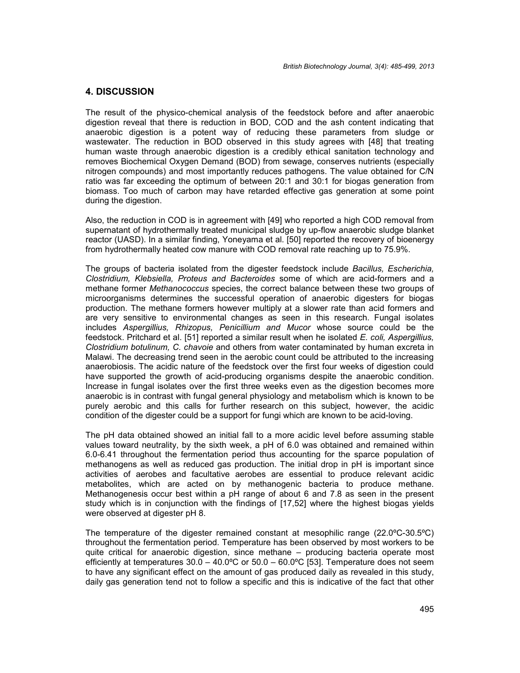#### **4. DISCUSSION**

The result of the physico-chemical analysis of the feedstock before and after anaerobic digestion reveal that there is reduction in BOD, COD and the ash content indicating that anaerobic digestion is a potent way of reducing these parameters from sludge or wastewater. The reduction in BOD observed in this study agrees with [48] that treating human waste through anaerobic digestion is a credibly ethical sanitation technology and removes Biochemical Oxygen Demand (BOD) from sewage, conserves nutrients (especially nitrogen compounds) and most importantly reduces pathogens. The value obtained for C/N ratio was far exceeding the optimum of between 20:1 and 30:1 for biogas generation from biomass. Too much of carbon may have retarded effective gas generation at some point during the digestion.

Also, the reduction in COD is in agreement with [49] who reported a high COD removal from supernatant of hydrothermally treated municipal sludge by up-flow anaerobic sludge blanket reactor (UASD). In a similar finding, Yoneyama et al. [50] reported the recovery of bioenergy from hydrothermally heated cow manure with COD removal rate reaching up to 75.9%.

The groups of bacteria isolated from the digester feedstock include *Bacillus, Escherichia, Clostridium, Klebsiella, Proteus and Bacteroides* some of which are acid-formers and a methane former *Methanococcus* species, the correct balance between these two groups of microorganisms determines the successful operation of anaerobic digesters for biogas production. The methane formers however multiply at a slower rate than acid formers and are very sensitive to environmental changes as seen in this research. Fungal isolates includes *Aspergillius, Rhizopus, Penicillium and Mucor* whose source could be the feedstock. Pritchard et al. [51] reported a similar result when he isolated *E. coli, Aspergillius, Clostridium botulinum, C. chavoie* and others from water contaminated by human excreta in Malawi. The decreasing trend seen in the aerobic count could be attributed to the increasing anaerobiosis. The acidic nature of the feedstock over the first four weeks of digestion could have supported the growth of acid-producing organisms despite the anaerobic condition. Increase in fungal isolates over the first three weeks even as the digestion becomes more anaerobic is in contrast with fungal general physiology and metabolism which is known to be purely aerobic and this calls for further research on this subject, however, the acidic condition of the digester could be a support for fungi which are known to be acid-loving.

The pH data obtained showed an initial fall to a more acidic level before assuming stable values toward neutrality, by the sixth week, a pH of 6.0 was obtained and remained within 6.0-6.41 throughout the fermentation period thus accounting for the sparce population of methanogens as well as reduced gas production. The initial drop in pH is important since activities of aerobes and facultative aerobes are essential to produce relevant acidic metabolites, which are acted on by methanogenic bacteria to produce methane. Methanogenesis occur best within a pH range of about 6 and 7.8 as seen in the present study which is in conjunction with the findings of [17,52] where the highest biogas yields were observed at digester pH 8.

The temperature of the digester remained constant at mesophilic range (22.0ºC-30.5ºC) throughout the fermentation period. Temperature has been observed by most workers to be quite critical for anaerobic digestion, since methane – producing bacteria operate most efficiently at temperatures  $30.0 - 40.0$ °C or  $50.0 - 60.0$ °C [53]. Temperature does not seem to have any significant effect on the amount of gas produced daily as revealed in this study, daily gas generation tend not to follow a specific and this is indicative of the fact that other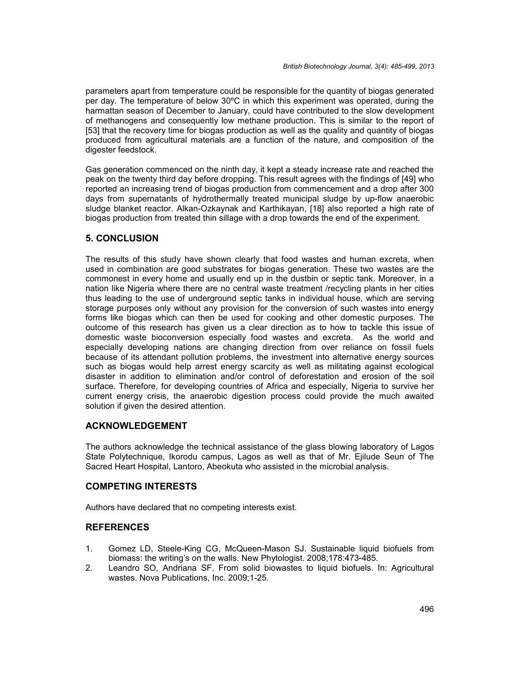parameters apart from temperature could be responsible for the quantity of biogas generated per day. The temperature of below 30ºC in which this experiment was operated, during the harmattan season of December to January, could have contributed to the slow development of methanogens and consequently low methane production. This is similar to the report of [53] that the recovery time for biogas production as well as the quality and quantity of biogas produced from agricultural materials are a function of the nature, and composition of the digester feedstock.

Gas generation commenced on the ninth day, it kept a steady increase rate and reached the peak on the twenty third day before dropping. This result agrees with the findings of [49] who reported an increasing trend of biogas production from commencement and a drop after 300 days from supernatants of hydrothermally treated municipal sludge by up-flow anaerobic sludge blanket reactor. Alkan-Ozkaynak and Karthikayan, [18] also reported a high rate of biogas production from treated thin sillage with a drop towards the end of the experiment.

# **5. CONCLUSION**

The results of this study have shown clearly that food wastes and human excreta, when used in combination are good substrates for biogas generation. These two wastes are the commonest in every home and usually end up in the dustbin or septic tank. Moreover, in a nation like Nigeria where there are no central waste treatment /recycling plants in her cities thus leading to the use of underground septic tanks in individual house, which are serving storage purposes only without any provision for the conversion of such wastes into energy forms like biogas which can then be used for cooking and other domestic purposes. The outcome of this research has given us a clear direction as to how to tackle this issue of domestic waste bioconversion especially food wastes and excreta. As the world and especially developing nations are changing direction from over reliance on fossil fuels because of its attendant pollution problems, the investment into alternative energy sources such as biogas would help arrest energy scarcity as well as militating against ecological disaster in addition to elimination and/or control of deforestation and erosion of the soil surface. Therefore, for developing countries of Africa and especially, Nigeria to survive her current energy crisis, the anaerobic digestion process could provide the much awaited solution if given the desired attention.

#### **ACKNOWLEDGEMENT**

The authors acknowledge the technical assistance of the glass blowing laboratory of Lagos State Polytechnique, Ikorodu campus, Lagos as well as that of Mr. Ejilude Seun of The Sacred Heart Hospital, Lantoro, Abeokuta who assisted in the microbial analysis.

# **COMPETING INTERESTS**

Authors have declared that no competing interests exist.

# **REFERENCES**

- 1. Gomez LD, Steele-King CG, McQueen-Mason SJ. Sustainable liquid biofuels from biomass: the writing's on the walls. New Phytologist. 2008;178:473-485.
- 2. Leandro SO, Andriana SF. From solid biowastes to liquid biofuels. In: Agricultural wastes. Nova Publications, Inc. 2009;1-25.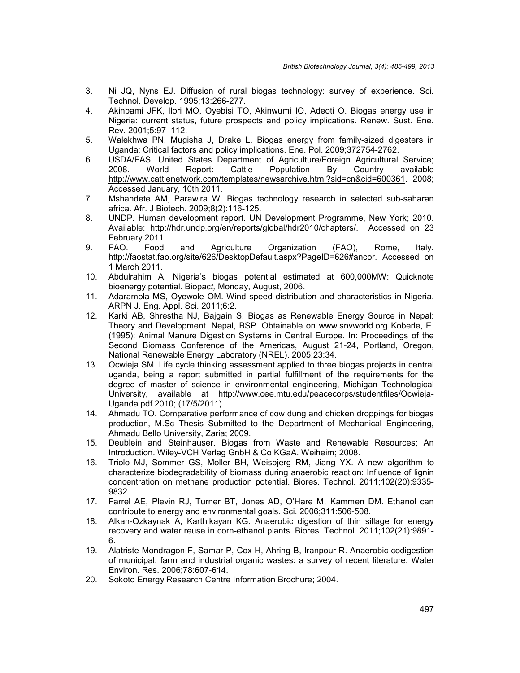- 3. Ni JQ, Nyns EJ. Diffusion of rural biogas technology: survey of experience. Sci. Technol. Develop. 1995;13:266-277.
- 4. Akinbami JFK, Ilori MO, Oyebisi TO, Akinwumi IO, Adeoti O. Biogas energy use in Nigeria: current status, future prospects and policy implications. Renew. Sust. Ene. Rev. 2001;5:97–112.
- 5. Walekhwa PN, Mugisha J, Drake L. Biogas energy from family-sized digesters in Uganda: Critical factors and policy implications. Ene. Pol. 2009;372754-2762.
- 6. USDA/FAS. United States Department of Agriculture/Foreign Agricultural Service; 2008. World Report: Cattle Population By Country available http://www.cattlenetwork.com/templates/newsarchive.html?sid=cn&cid=600361. 2008: Accessed January, 10th 2011.
- 7. Mshandete AM, Parawira W. Biogas technology research in selected sub-saharan africa. Afr. J Biotech. 2009;8(2):116-125.
- 8. UNDP. Human development report. UN Development Programme, New York; 2010. Available: http://hdr.undp.org/en/reports/global/hdr2010/chapters/. Accessed on 23 February 2011.
- 9. FAO. Food and Agriculture Organization (FAO), Rome, Italy. http://faostat.fao.org/site/626/DesktopDefault.aspx?PageID=626#ancor. Accessed on 1 March 2011.
- 10. Abdulrahim A. Nigeria's biogas potential estimated at 600,000MW: Quicknote bioenergy potential. Biopac*t,* Monday, August, 2006.
- 11. Adaramola MS, Oyewole OM. Wind speed distribution and characteristics in Nigeria. ARPN J. Eng. Appl. Sci. 2011;6:2.
- 12. Karki AB, Shrestha NJ, Bajgain S. Biogas as Renewable Energy Source in Nepal: Theory and Development. Nepal, BSP. Obtainable on www.snvworld.org Koberle, E. (1995): Animal Manure Digestion Systems in Central Europe. In: Proceedings of the Second Biomass Conference of the Americas, August 21-24, Portland, Oregon, National Renewable Energy Laboratory (NREL). 2005;23:34.
- 13. Ocwieja SM. Life cycle thinking assessment applied to three biogas projects in central uganda, being a report submitted in partial fulfillment of the requirements for the degree of master of science in environmental engineering, Michigan Technological University, available at http://www.cee.mtu.edu/peacecorps/studentfiles/Ocwieja- Uganda.pdf 2010; (17/5/2011).
- 14. Ahmadu TO. Comparative performance of cow dung and chicken droppings for biogas production, M.Sc Thesis Submitted to the Department of Mechanical Engineering, Ahmadu Bello University, Zaria; 2009.
- 15. Deublein and Steinhauser. Biogas from Waste and Renewable Resources; An Introduction. Wiley-VCH Verlag GnbH & Co KGaA. Weiheim; 2008.
- 16. Triolo MJ, Sommer GS, Moller BH, Weisbjerg RM, Jiang YX. A new algorithm to characterize biodegradability of biomass during anaerobic reaction: Influence of lignin concentration on methane production potential. Biores. Technol. 2011;102(20):9335- 9832.
- 17. Farrel AE, Plevin RJ, Turner BT, Jones AD, O'Hare M, Kammen DM. Ethanol can contribute to energy and environmental goals. Sci. 2006;311:506-508.
- 18. Alkan-Ozkaynak A, Karthikayan KG. Anaerobic digestion of thin sillage for energy recovery and water reuse in corn-ethanol plants. Biores. Technol. 2011;102(21):9891- 6.
- 19. Alatriste-Mondragon F, Samar P, Cox H, Ahring B, Iranpour R. Anaerobic codigestion of municipal, farm and industrial organic wastes: a survey of recent literature. Water Environ. Res. 2006;78:607-614.
- 20. Sokoto Energy Research Centre Information Brochure; 2004.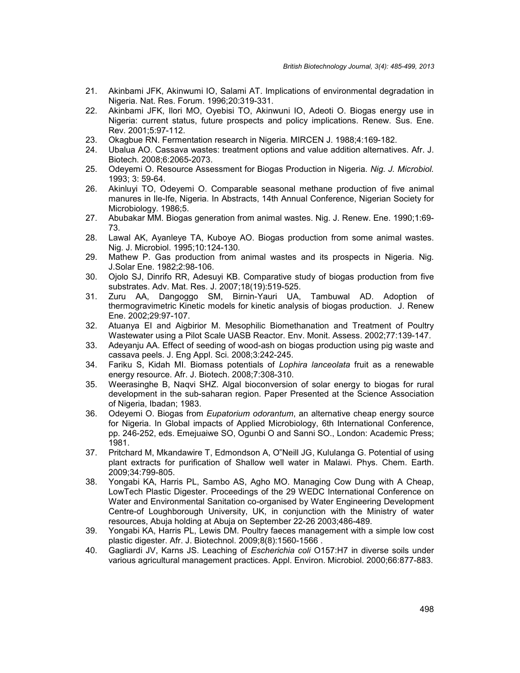- 21. Akinbami JFK, Akinwumi IO, Salami AT. Implications of environmental degradation in Nigeria. Nat. Res. Forum. 1996;20:319-331.
- 22. Akinbami JFK, Ilori MO, Oyebisi TO, Akinwuni IO, Adeoti O. Biogas energy use in Nigeria: current status, future prospects and policy implications. Renew. Sus. Ene. Rev. 2001;5:97-112.
- 23. Okagbue RN. Fermentation research in Nigeria. MIRCEN J. 1988;4:169-182.
- 24. Ubalua AO. Cassava wastes: treatment options and value addition alternatives. Afr. J. Biotech. 2008;6:2065-2073.
- 25. Odeyemi O. Resource Assessment for Biogas Production in Nigeria. *Nig. J. Microbiol.* 1993; 3: 59-64.
- 26. Akinluyi TO, Odeyemi O. Comparable seasonal methane production of five animal manures in Ile-Ife, Nigeria. In Abstracts, 14th Annual Conference, Nigerian Society for Microbiology. 1986;5.
- 27. Abubakar MM. Biogas generation from animal wastes. Nig. J. Renew. Ene. 1990;1:69- 73.
- 28. Lawal AK, Ayanleye TA, Kuboye AO. Biogas production from some animal wastes. Nig. J. Microbiol. 1995;10:124-130.
- 29. Mathew P. Gas production from animal wastes and its prospects in Nigeria. Nig. J.Solar Ene. 1982;2:98-106.
- 30. Ojolo SJ, Dinrifo RR, Adesuyi KB. Comparative study of biogas production from five substrates. Adv. Mat. Res. J. 2007;18(19):519-525.
- 31. Zuru AA, Dangoggo SM, Birnin-Yauri UA, Tambuwal AD. Adoption of thermogravimetric Kinetic models for kinetic analysis of biogas production. J. Renew Ene. 2002;29:97-107.
- 32. Atuanya EI and Aigbirior M. Mesophilic Biomethanation and Treatment of Poultry Wastewater using a Pilot Scale UASB Reactor. Env. Monit. Assess. 2002;77:139-147.
- 33. Adeyanju AA. Effect of seeding of wood-ash on biogas production using pig waste and cassava peels. J. Eng Appl. Sci. 2008;3:242-245.
- 34. Fariku S, Kidah MI. Biomass potentials of *Lophira lanceolata* fruit as a renewable energy resource. Afr. J. Biotech. 2008;7:308-310.
- 35. Weerasinghe B, Naqvi SHZ. Algal bioconversion of solar energy to biogas for rural development in the sub-saharan region. Paper Presented at the Science Association of Nigeria, Ibadan; 1983.
- 36. Odeyemi O. Biogas from *Eupatorium odorantum*, an alternative cheap energy source for Nigeria. In Global impacts of Applied Microbiology, 6th International Conference, pp. 246-252, eds. Emejuaiwe SO, Ogunbi O and Sanni SO., London: Academic Press; 1981.
- 37. Pritchard M, Mkandawire T, Edmondson A, O"Neill JG, Kululanga G. Potential of using plant extracts for purification of Shallow well water in Malawi. Phys. Chem. Earth. 2009;34:799-805.
- 38. Yongabi KA, Harris PL, Sambo AS, Agho MO. Managing Cow Dung with A Cheap, LowTech Plastic Digester. Proceedings of the 29 WEDC International Conference on Water and Environmental Sanitation co-organised by Water Engineering Development Centre-of Loughborough University, UK, in conjunction with the Ministry of water resources, Abuja holding at Abuja on September 22-26 2003;486-489.
- 39. Yongabi KA, Harris PL, Lewis DM. Poultry faeces management with a simple low cost plastic digester. Afr. J. Biotechnol. 2009;8(8):1560-1566 .
- 40. Gagliardi JV, Karns JS. Leaching of *Escherichia coli* O157:H7 in diverse soils under various agricultural management practices. Appl. Environ. Microbiol. 2000;66:877-883.